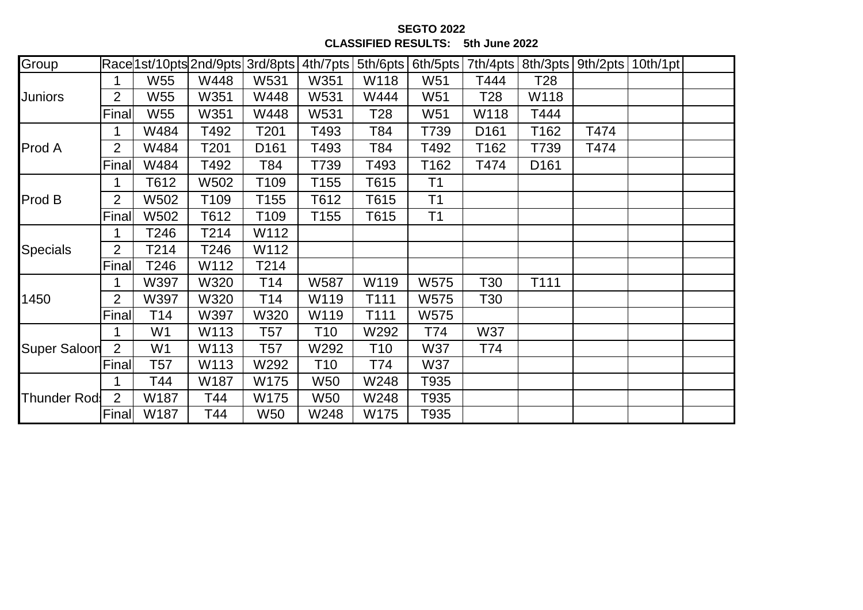**SEGTO 2022 CLASSIFIED RESULTS: 5th June 2022**

| Group               |                |                |                  | Race 1st/10pts 2nd/9pts 3rd/8pts | 4th/7pts        | 5th/6pts |                | 6th/5pts   7th/4pts |                  | 8th/3pts   9th/2pts   10th/1pt |  |
|---------------------|----------------|----------------|------------------|----------------------------------|-----------------|----------|----------------|---------------------|------------------|--------------------------------|--|
| <b>Juniors</b>      |                | W55            | W448             | W531                             | W351            | W118     | W51            | T444                | T28              |                                |  |
|                     | 2              | W55            | W351             | W448                             | W531            | W444     | W51            | T28                 | W118             |                                |  |
|                     | Final          | W55            | W351             | W448                             | W531            | T28      | W51            | W118                | T444             |                                |  |
| <b>Prod A</b>       | 1              | W484           | T492             | T201                             | T493            | T84      | T739           | D <sub>161</sub>    | T162             | T474                           |  |
|                     | $\overline{2}$ | W484           | T201             | D <sub>161</sub>                 | T493            | T84      | T492           | T162                | T739             | T474                           |  |
|                     | Final          | W484           | T492             | T84                              | T739            | T493     | T162           | T474                | D <sub>161</sub> |                                |  |
| Prod B              |                | T612           | W502             | T109                             | T155            | T615     | T <sub>1</sub> |                     |                  |                                |  |
|                     | 2              | W502           | T <sub>109</sub> | T155                             | T612            | T615     | T <sub>1</sub> |                     |                  |                                |  |
|                     | Final          | W502           | T612             | T109                             | T155            | T615     | T <sub>1</sub> |                     |                  |                                |  |
| Specials            |                | T246           | T214             | W112                             |                 |          |                |                     |                  |                                |  |
|                     | $\overline{2}$ | T214           | T246             | W112                             |                 |          |                |                     |                  |                                |  |
|                     | Final          | T246           | W112             | T214                             |                 |          |                |                     |                  |                                |  |
| 1450                |                | W397           | W320             | T <sub>14</sub>                  | W587            | W119     | W575           | T30                 | T111             |                                |  |
|                     | 2              | W397           | W320             | T <sub>14</sub>                  | W119            | T111     | W575           | T30                 |                  |                                |  |
|                     | Final          | T14            | W397             | W320                             | W119            | T111     | W575           |                     |                  |                                |  |
| <b>Super Saloon</b> |                | W <sub>1</sub> | W113             | T57                              | T <sub>10</sub> | W292     | T74            | W37                 |                  |                                |  |
|                     | $\overline{2}$ | W <sub>1</sub> | W113             | T57                              | W292            | T10      | W37            | T74                 |                  |                                |  |
|                     | Final          | T57            | W113             | W292                             | T10             | T74      | W37            |                     |                  |                                |  |
| <b>Thunder Rod</b>  |                | T44            | W187             | W175                             | W50             | W248     | T935           |                     |                  |                                |  |
|                     | $\overline{2}$ | W187           | T44              | W175                             | <b>W50</b>      | W248     | T935           |                     |                  |                                |  |
|                     | Final          | W187           | T44              | W <sub>50</sub>                  | W248            | W175     | T935           |                     |                  |                                |  |